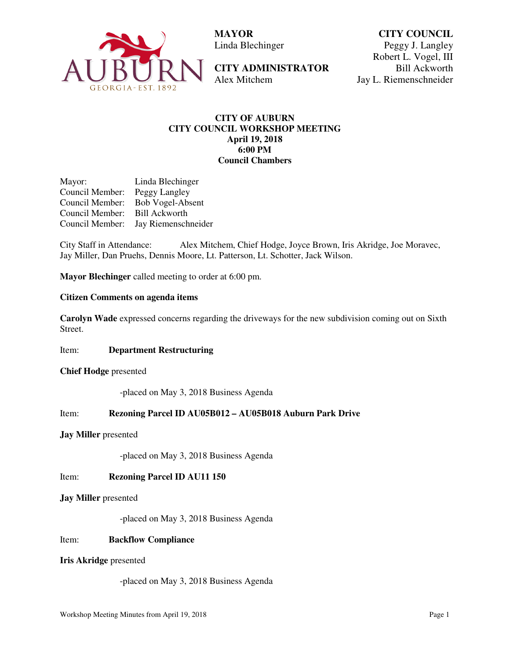

 **MAYOR**  Linda Blechinger

**CITY ADMINISTRATOR**  Alex Mitchem

**CITY COUNCIL** Peggy J. Langley Robert L. Vogel, III Bill Ackworth Jay L. Riemenschneider

# **CITY OF AUBURN CITY COUNCIL WORKSHOP MEETING April 19, 2018 6:00 PM Council Chambers**

Mayor: Linda Blechinger Council Member: Peggy Langley Council Member: Bob Vogel-Absent Council Member: Bill Ackworth Council Member: Jay Riemenschneider

City Staff in Attendance: Alex Mitchem, Chief Hodge, Joyce Brown, Iris Akridge, Joe Moravec, Jay Miller, Dan Pruehs, Dennis Moore, Lt. Patterson, Lt. Schotter, Jack Wilson.

**Mayor Blechinger** called meeting to order at 6:00 pm.

# **Citizen Comments on agenda items**

**Carolyn Wade** expressed concerns regarding the driveways for the new subdivision coming out on Sixth Street.

Item: **Department Restructuring** 

**Chief Hodge** presented

-placed on May 3, 2018 Business Agenda

#### Item: **Rezoning Parcel ID AU05B012 – AU05B018 Auburn Park Drive**

#### **Jay Miller** presented

-placed on May 3, 2018 Business Agenda

Item: **Rezoning Parcel ID AU11 150** 

**Jay Miller** presented

-placed on May 3, 2018 Business Agenda

#### Item: **Backflow Compliance**

#### **Iris Akridge** presented

-placed on May 3, 2018 Business Agenda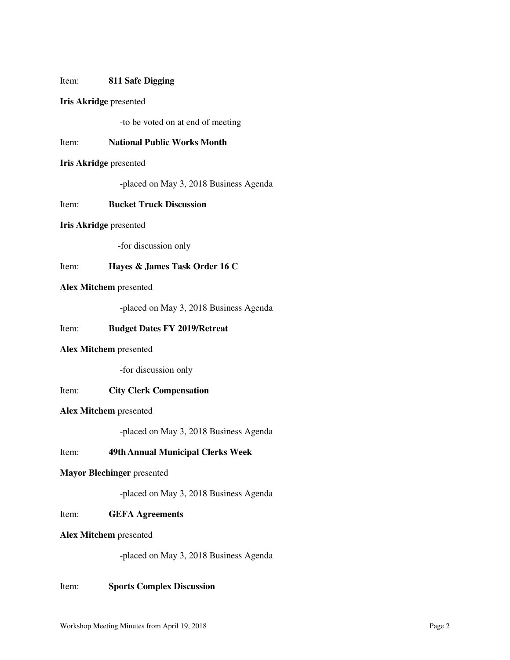### Item: **811 Safe Digging**

## **Iris Akridge** presented

-to be voted on at end of meeting

### Item: **National Public Works Month**

#### **Iris Akridge** presented

-placed on May 3, 2018 Business Agenda

## Item: **Bucket Truck Discussion**

#### **Iris Akridge** presented

-for discussion only

## Item: **Hayes & James Task Order 16 C**

## **Alex Mitchem** presented

-placed on May 3, 2018 Business Agenda

### Item: **Budget Dates FY 2019/Retreat**

### **Alex Mitchem** presented

-for discussion only

# Item: **City Clerk Compensation**

# **Alex Mitchem** presented

-placed on May 3, 2018 Business Agenda

# Item: **49th Annual Municipal Clerks Week**

# **Mayor Blechinger** presented

-placed on May 3, 2018 Business Agenda

### Item: **GEFA Agreements**

#### **Alex Mitchem** presented

-placed on May 3, 2018 Business Agenda

# Item: **Sports Complex Discussion**